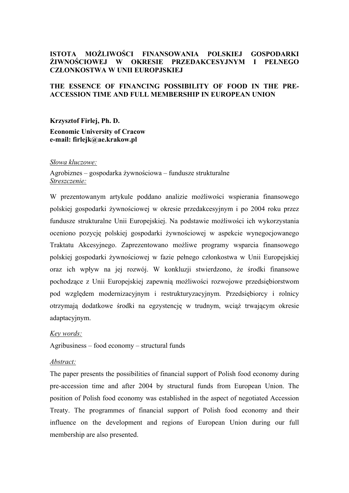## **ISTOTA MOŻLIWOŚCI FINANSOWANIA POLSKIEJ GOSPODARKI ŻIWNOŚCIOWEJ W OKRESIE PRZEDAKCESYJNYM I PEŁNEGO CZŁONKOSTWA W UNII EUROPJSKIEJ**

### **THE ESSENCE OF FINANCING POSSIBILITY OF FOOD IN THE PRE-ACCESSION TIME AND FULL MEMBERSHIP IN EUROPEAN UNION**

**Krzysztof Firlej, Ph. D. Economic University of Cracow e-mail: firlejk@ae.krakow.pl**

#### *Słowa kluczowe:*

Agrobiznes – gospodarka żywnościowa – fundusze strukturalne *Streszczenie:* 

W prezentowanym artykule poddano analizie możliwości wspierania finansowego polskiej gospodarki żywnościowej w okresie przedakcesyjnym i po 2004 roku przez fundusze strukturalne Unii Europejskiej. Na podstawie możliwości ich wykorzystania oceniono pozycję polskiej gospodarki żywnościowej w aspekcie wynegocjowanego Traktatu Akcesyjnego. Zaprezentowano możliwe programy wsparcia finansowego polskiej gospodarki żywnościowej w fazie pełnego członkostwa w Unii Europejskiej oraz ich wpływ na jej rozwój. W konkluzji stwierdzono, że środki finansowe pochodzące z Unii Europejskiej zapewnią możliwości rozwojowe przedsiębiorstwom pod względem modernizacyjnym i restrukturyzacyjnym. Przedsiębiorcy i rolnicy otrzymają dodatkowe środki na egzystencję w trudnym, wciąż trwającym okresie adaptacyjnym.

#### *Key words:*

Agribusiness – food economy – structural funds

### *Abstract:*

The paper presents the possibilities of financial support of Polish food economy during pre-accession time and after 2004 by structural funds from European Union. The position of Polish food economy was established in the aspect of negotiated Accession Treaty. The programmes of financial support of Polish food economy and their influence on the development and regions of European Union during our full membership are also presented.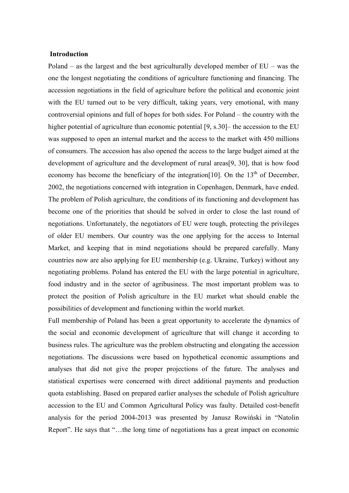### **Introduction**

Poland – as the largest and the best agriculturally developed member of EU – was the one the longest negotiating the conditions of agriculture functioning and financing. The accession negotiations in the field of agriculture before the political and economic joint with the EU turned out to be very difficult, taking years, very emotional, with many controversial opinions and full of hopes for both sides. For Poland – the country with the higher potential of agriculture than economic potential [9, s.30]– the accession to the EU was supposed to open an internal market and the access to the market with 450 millions of consumers. The accession has also opened the access to the large budget aimed at the development of agriculture and the development of rural areas[9, 30], that is how food economy has become the beneficiary of the integration [10]. On the  $13<sup>th</sup>$  of December, 2002, the negotiations concerned with integration in Copenhagen, Denmark, have ended. The problem of Polish agriculture, the conditions of its functioning and development has become one of the priorities that should be solved in order to close the last round of negotiations. Unfortunately, the negotiators of EU were tough, protecting the privileges of older EU members. Our country was the one applying for the access to Internal Market, and keeping that in mind negotiations should be prepared carefully. Many countries now are also applying for EU membership (e.g. Ukraine, Turkey) without any negotiating problems. Poland has entered the EU with the large potential in agriculture, food industry and in the sector of agribusiness. The most important problem was to protect the position of Polish agriculture in the EU market what should enable the possibilities of development and functioning within the world market.

Full membership of Poland has been a great opportunity to accelerate the dynamics of the social and economic development of agriculture that will change it according to business rules. The agriculture was the problem obstructing and elongating the accession negotiations. The discussions were based on hypothetical economic assumptions and analyses that did not give the proper projections of the future. The analyses and statistical expertises were concerned with direct additional payments and production quota establishing. Based on prepared earlier analyses the schedule of Polish agriculture accession to the EU and Common Agricultural Policy was faulty. Detailed cost-benefit analysis for the period 2004-2013 was presented by Janusz Rowiński in "Natolin Report". He says that "…the long time of negotiations has a great impact on economic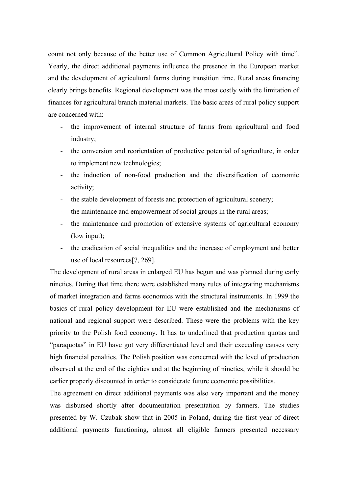count not only because of the better use of Common Agricultural Policy with time". Yearly, the direct additional payments influence the presence in the European market and the development of agricultural farms during transition time. Rural areas financing clearly brings benefits. Regional development was the most costly with the limitation of finances for agricultural branch material markets. The basic areas of rural policy support are concerned with:

- the improvement of internal structure of farms from agricultural and food industry;
- the conversion and reorientation of productive potential of agriculture, in order to implement new technologies;
- the induction of non-food production and the diversification of economic activity;
- the stable development of forests and protection of agricultural scenery;
- the maintenance and empowerment of social groups in the rural areas;
- the maintenance and promotion of extensive systems of agricultural economy (low input);
- the eradication of social inequalities and the increase of employment and better use of local resources[7, 269].

The development of rural areas in enlarged EU has begun and was planned during early nineties. During that time there were established many rules of integrating mechanisms of market integration and farms economics with the structural instruments. In 1999 the basics of rural policy development for EU were established and the mechanisms of national and regional support were described. These were the problems with the key priority to the Polish food economy. It has to underlined that production quotas and "paraquotas" in EU have got very differentiated level and their exceeding causes very high financial penalties. The Polish position was concerned with the level of production observed at the end of the eighties and at the beginning of nineties, while it should be earlier properly discounted in order to considerate future economic possibilities.

The agreement on direct additional payments was also very important and the money was disbursed shortly after documentation presentation by farmers. The studies presented by W. Czubak show that in 2005 in Poland, during the first year of direct additional payments functioning, almost all eligible farmers presented necessary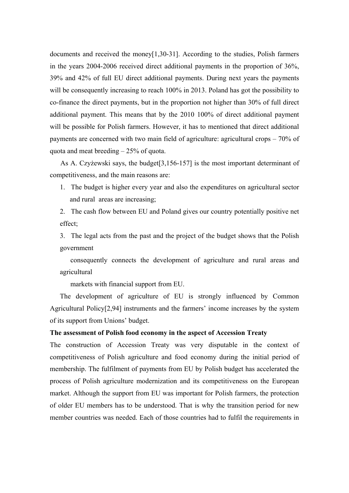documents and received the money[1,30-31]. According to the studies, Polish farmers in the years 2004-2006 received direct additional payments in the proportion of 36%, 39% and 42% of full EU direct additional payments. During next years the payments will be consequently increasing to reach 100% in 2013. Poland has got the possibility to co-finance the direct payments, but in the proportion not higher than 30% of full direct additional payment. This means that by the 2010 100% of direct additional payment will be possible for Polish farmers. However, it has to mentioned that direct additional payments are concerned with two main field of agriculture: agricultural crops – 70% of quota and meat breeding – 25% of quota.

As A. Czyżewski says, the budget[3,156-157] is the most important determinant of competitiveness, and the main reasons are:

1. The budget is higher every year and also the expenditures on agricultural sector and rural areas are increasing;

2. The cash flow between EU and Poland gives our country potentially positive net effect;

3. The legal acts from the past and the project of the budget shows that the Polish government

 consequently connects the development of agriculture and rural areas and agricultural

markets with financial support from EU.

The development of agriculture of EU is strongly influenced by Common Agricultural Policy[2,94] instruments and the farmers' income increases by the system of its support from Unions' budget.

## **The assessment of Polish food economy in the aspect of Accession Treaty**

The construction of Accession Treaty was very disputable in the context of competitiveness of Polish agriculture and food economy during the initial period of membership. The fulfilment of payments from EU by Polish budget has accelerated the process of Polish agriculture modernization and its competitiveness on the European market. Although the support from EU was important for Polish farmers, the protection of older EU members has to be understood. That is why the transition period for new member countries was needed. Each of those countries had to fulfil the requirements in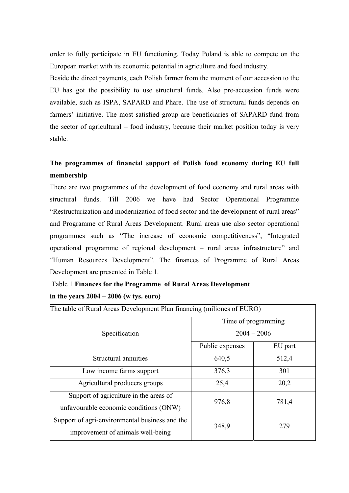order to fully participate in EU functioning. Today Poland is able to compete on the European market with its economic potential in agriculture and food industry.

Beside the direct payments, each Polish farmer from the moment of our accession to the EU has got the possibility to use structural funds. Also pre-accession funds were available, such as ISPA, SAPARD and Phare. The use of structural funds depends on farmers' initiative. The most satisfied group are beneficiaries of SAPARD fund from the sector of agricultural – food industry, because their market position today is very stable.

# **The programmes of financial support of Polish food economy during EU full membership**

There are two programmes of the development of food economy and rural areas with structural funds. Till 2006 we have had Sector Operational Programme "Restructurization and modernization of food sector and the development of rural areas" and Programme of Rural Areas Development. Rural areas use also sector operational programmes such as "The increase of economic competitiveness", "Integrated operational programme of regional development – rural areas infrastructure" and "Human Resources Development". The finances of Programme of Rural Areas Development are presented in Table 1.

# Table 1 **Finances for the Programme of Rural Areas Development in the years 2004 – 2006 (w tys. euro)**

| The table of Rural Areas Development Plan financing (miliones of EURO) |                     |         |  |
|------------------------------------------------------------------------|---------------------|---------|--|
|                                                                        | Time of programming |         |  |
| Specification                                                          | $2004 - 2006$       |         |  |
|                                                                        | Public expenses     | EU part |  |
| Structural annuities                                                   | 640,5               | 512,4   |  |
| Low income farms support                                               | 376,3               | 301     |  |
| Agricultural producers groups                                          | 25,4                | 20,2    |  |
| Support of agriculture in the areas of                                 | 976,8               | 781,4   |  |
| unfavourable economic conditions (ONW)                                 |                     |         |  |
| Support of agri-environmental business and the                         | 348,9               | 279     |  |
| improvement of animals well-being                                      |                     |         |  |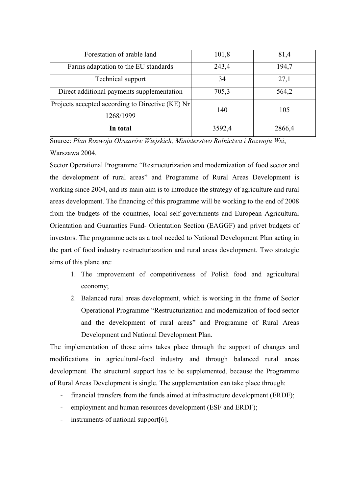| Forestation of arable land                       | 101,8  | 81,4   |
|--------------------------------------------------|--------|--------|
| Farms adaptation to the EU standards             | 243,4  | 194,7  |
| Technical support                                | 34     | 27,1   |
| Direct additional payments supplementation       | 705,3  | 564,2  |
| Projects accepted according to Directive (KE) Nr | 140    | 105    |
| 1268/1999                                        |        |        |
| In total                                         | 3592,4 | 2866,4 |

Source: *Plan Rozwoju Obszarów Wiejskich, Ministerstwo Rolnictwa i Rozwoju Wsi*, Warszawa 2004.

Sector Operational Programme "Restructurization and modernization of food sector and the development of rural areas" and Programme of Rural Areas Development is working since 2004, and its main aim is to introduce the strategy of agriculture and rural areas development. The financing of this programme will be working to the end of 2008 from the budgets of the countries, local self-governments and European Agricultural Orientation and Guaranties Fund- Orientation Section (EAGGF) and privet budgets of investors. The programme acts as a tool needed to National Development Plan acting in the part of food industry restructuriazation and rural areas development. Two strategic aims of this plane are:

- 1. The improvement of competitiveness of Polish food and agricultural economy;
- 2. Balanced rural areas development, which is working in the frame of Sector Operational Programme "Restructurization and modernization of food sector and the development of rural areas" and Programme of Rural Areas Development and National Development Plan.

The implementation of those aims takes place through the support of changes and modifications in agricultural-food industry and through balanced rural areas development. The structural support has to be supplemented, because the Programme of Rural Areas Development is single. The supplementation can take place through:

- financial transfers from the funds aimed at infrastructure development (ERDF);
- employment and human resources development (ESF and ERDF);
- instruments of national support[6].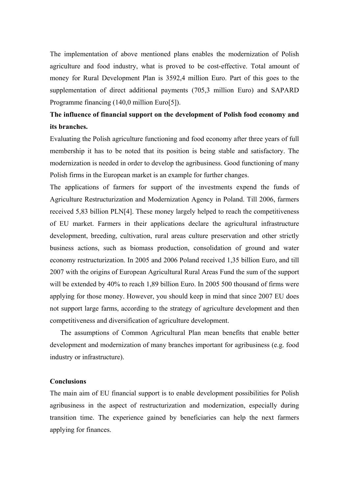The implementation of above mentioned plans enables the modernization of Polish agriculture and food industry, what is proved to be cost-effective. Total amount of money for Rural Development Plan is 3592,4 million Euro. Part of this goes to the supplementation of direct additional payments (705,3 million Euro) and SAPARD Programme financing (140,0 million Euro[5]).

# **The influence of financial support on the development of Polish food economy and its branches.**

Evaluating the Polish agriculture functioning and food economy after three years of full membership it has to be noted that its position is being stable and satisfactory. The modernization is needed in order to develop the agribusiness. Good functioning of many Polish firms in the European market is an example for further changes.

The applications of farmers for support of the investments expend the funds of Agriculture Restructurization and Modernization Agency in Poland. Till 2006, farmers received 5,83 billion PLN[4]. These money largely helped to reach the competitiveness of EU market. Farmers in their applications declare the agricultural infrastructure development, breeding, cultivation, rural areas culture preservation and other strictly business actions, such as biomass production, consolidation of ground and water economy restructurization. In 2005 and 2006 Poland received 1,35 billion Euro, and till 2007 with the origins of European Agricultural Rural Areas Fund the sum of the support will be extended by 40% to reach 1,89 billion Euro. In 2005 500 thousand of firms were applying for those money. However, you should keep in mind that since 2007 EU does not support large farms, according to the strategy of agriculture development and then competitiveness and diversification of agriculture development.

The assumptions of Common Agricultural Plan mean benefits that enable better development and modernization of many branches important for agribusiness (e.g. food industry or infrastructure).

### **Conclusions**

The main aim of EU financial support is to enable development possibilities for Polish agribusiness in the aspect of restructurization and modernization, especially during transition time. The experience gained by beneficiaries can help the next farmers applying for finances.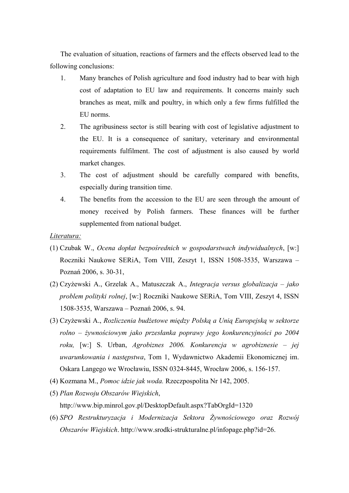The evaluation of situation, reactions of farmers and the effects observed lead to the following conclusions:

- 1. Many branches of Polish agriculture and food industry had to bear with high cost of adaptation to EU law and requirements. It concerns mainly such branches as meat, milk and poultry, in which only a few firms fulfilled the EU norms.
- 2. The agribusiness sector is still bearing with cost of legislative adjustment to the EU. It is a consequence of sanitary, veterinary and environmental requirements fulfilment. The cost of adjustment is also caused by world market changes.
- 3. The cost of adjustment should be carefully compared with benefits, especially during transition time.
- 4. The benefits from the accession to the EU are seen through the amount of money received by Polish farmers. These finances will be further supplemented from national budget.

### *Literatura:*

- (1) Czubak W., *Ocena dopłat bezpośrednich w gospodarstwach indywidualnych*, [w:] Roczniki Naukowe SERiA, Tom VIII, Zeszyt 1, ISSN 1508-3535, Warszawa – Poznań 2006, s. 30-31,
- (2) Czyżewski A., Grzelak A., Matuszczak A., *Integracja versus globalizacja jako problem polityki rolnej*, [w:] Roczniki Naukowe SERiA, Tom VIII, Zeszyt 4, ISSN 1508-3535, Warszawa – Poznań 2006, s. 94.
- (3) Czyżewski A., *Rozliczenia budżetowe między Polską a Unią Europejską w sektorze rolno – żywnościowym jako przesłanka poprawy jego konkurencyjności po 2004 roku,* [w:] S. Urban, *Agrobiznes 2006. Konkurencja w agrobiznesie – jej uwarunkowania i następstwa*, Tom 1, Wydawnictwo Akademii Ekonomicznej im. Oskara Langego we Wrocławiu, ISSN 0324-8445, Wrocław 2006, s. 156-157.
- (4) Kozmana M., *Pomoc idzie jak woda.* Rzeczpospolita Nr 142, 2005.
- (5) *Plan Rozwoju Obszarów Wiejskich*, <http://www.bip.minrol.gov.pl/DesktopDefault.aspx?TabOrgId=1320>
- (6) *SPO Restrukturyzacja i Modernizacja Sektora Żywnościowego oraz Rozwój Obszarów Wiejskich*. http://www.srodki-strukturalne.pl/infopage.php?id=26.